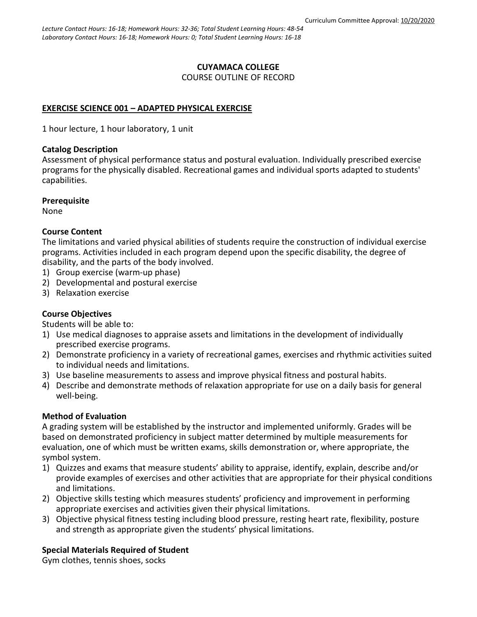### **CUYAMACA COLLEGE** COURSE OUTLINE OF RECORD

# **EXERCISE SCIENCE 001 – ADAPTED PHYSICAL EXERCISE**

1 hour lecture, 1 hour laboratory, 1 unit

### **Catalog Description**

Assessment of physical performance status and postural evaluation. Individually prescribed exercise programs for the physically disabled. Recreational games and individual sports adapted to students' capabilities.

## **Prerequisite**

None

## **Course Content**

The limitations and varied physical abilities of students require the construction of individual exercise programs. Activities included in each program depend upon the specific disability, the degree of disability, and the parts of the body involved.

- 1) Group exercise (warm-up phase)
- 2) Developmental and postural exercise
- 3) Relaxation exercise

# **Course Objectives**

Students will be able to:

- 1) Use medical diagnoses to appraise assets and limitations in the development of individually prescribed exercise programs.
- 2) Demonstrate proficiency in a variety of recreational games, exercises and rhythmic activities suited to individual needs and limitations.
- 3) Use baseline measurements to assess and improve physical fitness and postural habits.
- 4) Describe and demonstrate methods of relaxation appropriate for use on a daily basis for general well-being.

### **Method of Evaluation**

A grading system will be established by the instructor and implemented uniformly. Grades will be based on demonstrated proficiency in subject matter determined by multiple measurements for evaluation, one of which must be written exams, skills demonstration or, where appropriate, the symbol system.

- 1) Quizzes and exams that measure students' ability to appraise, identify, explain, describe and/or provide examples of exercises and other activities that are appropriate for their physical conditions and limitations.
- 2) Objective skills testing which measures students' proficiency and improvement in performing appropriate exercises and activities given their physical limitations.
- 3) Objective physical fitness testing including blood pressure, resting heart rate, flexibility, posture and strength as appropriate given the students' physical limitations.

# **Special Materials Required of Student**

Gym clothes, tennis shoes, socks